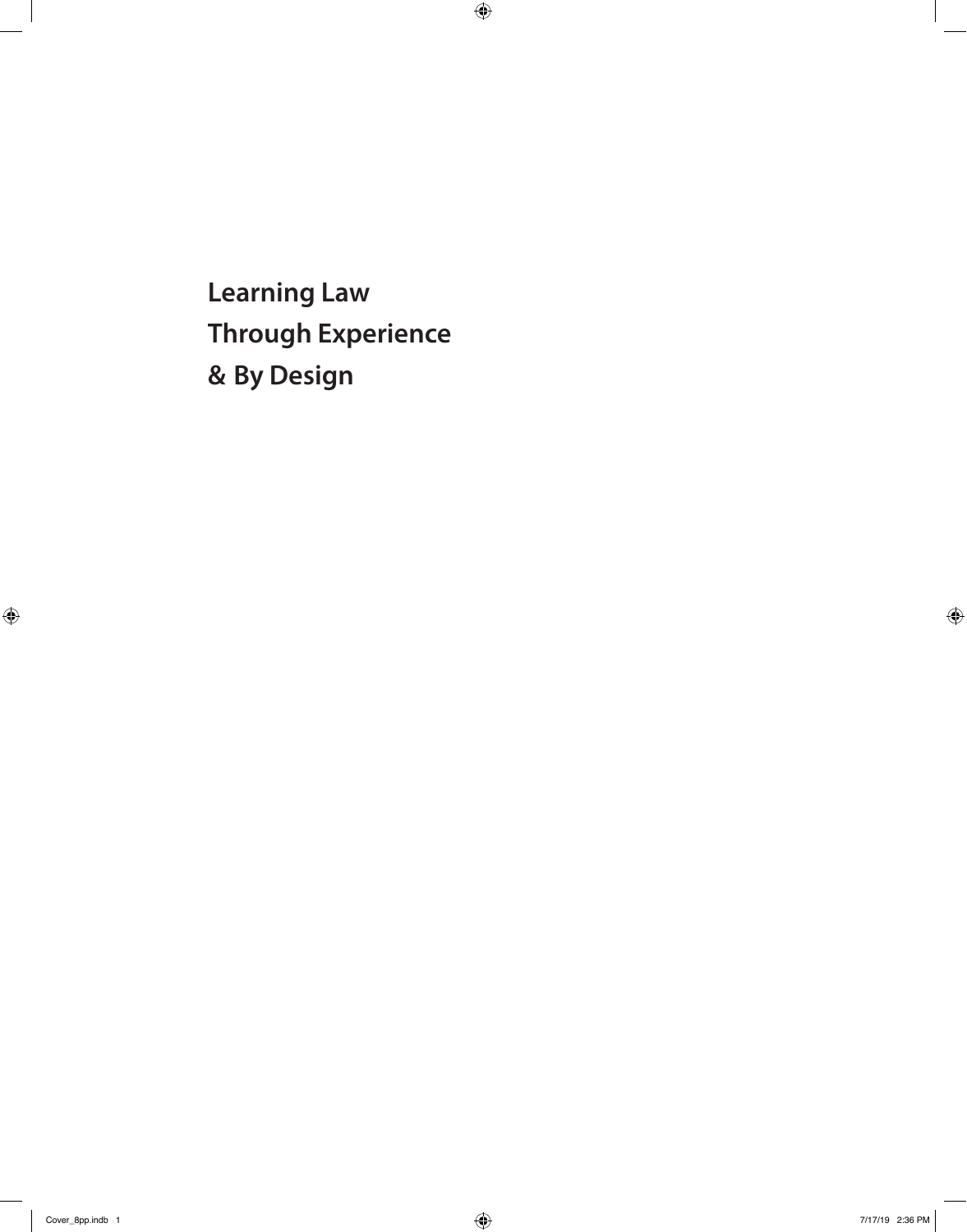**Learning Law Through Experience & By Design**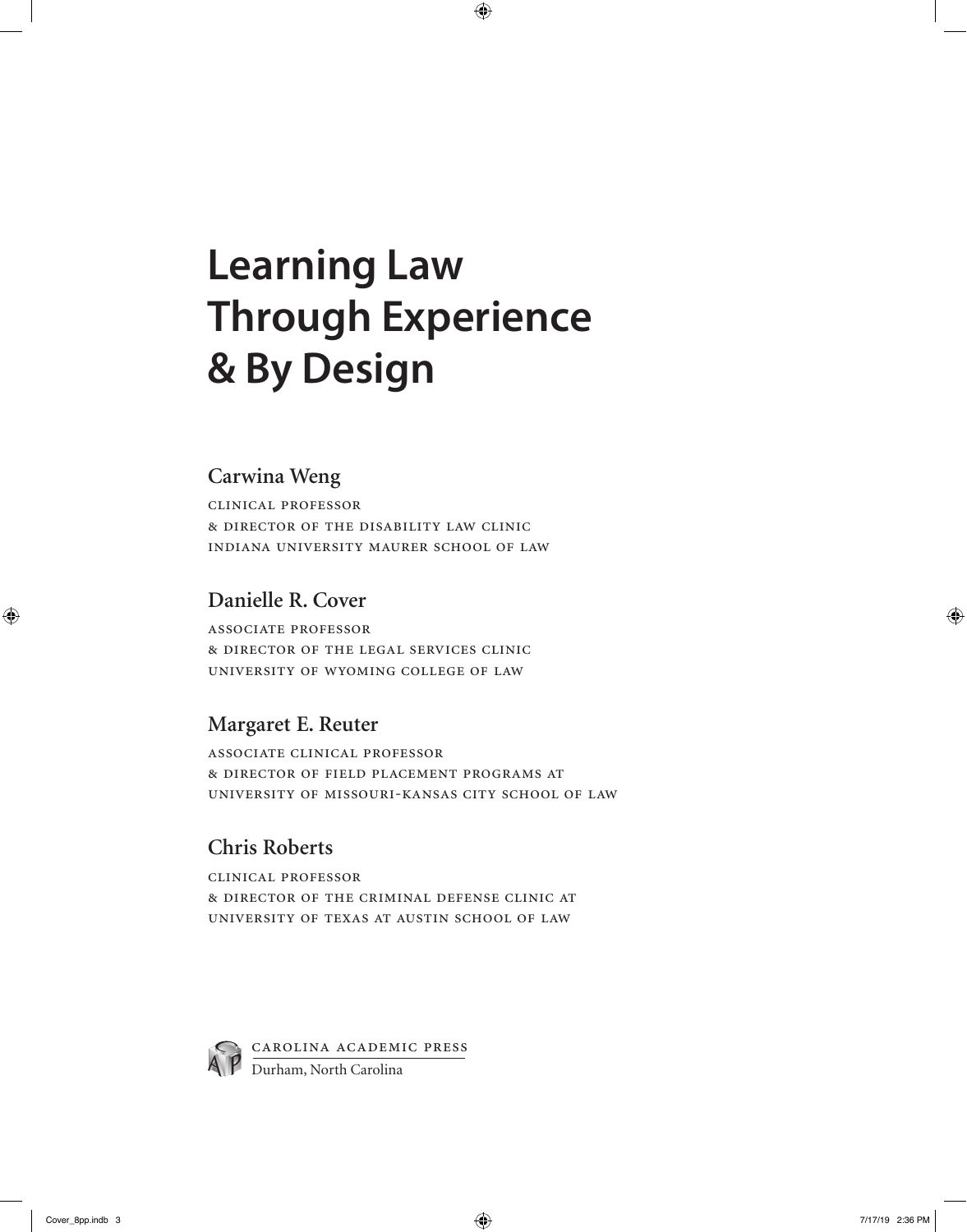# **Learning Law Through Experience & By Design**

#### **Carwina Weng**

clinical professor & director of the disability law clinic indiana university maurer school of law

#### **Danielle R. Cover**

associate professor & director of the legal services clinic university of wyoming college of law

#### **Margaret E. Reuter**

associate clinical professor & director of field placement programs at university of missouri-kansas city school of law

### **Chris Roberts**

clinical professor & director of the criminal defense clinic at university of texas at austin school of law



Carolina Academic Press Durham, North Carolina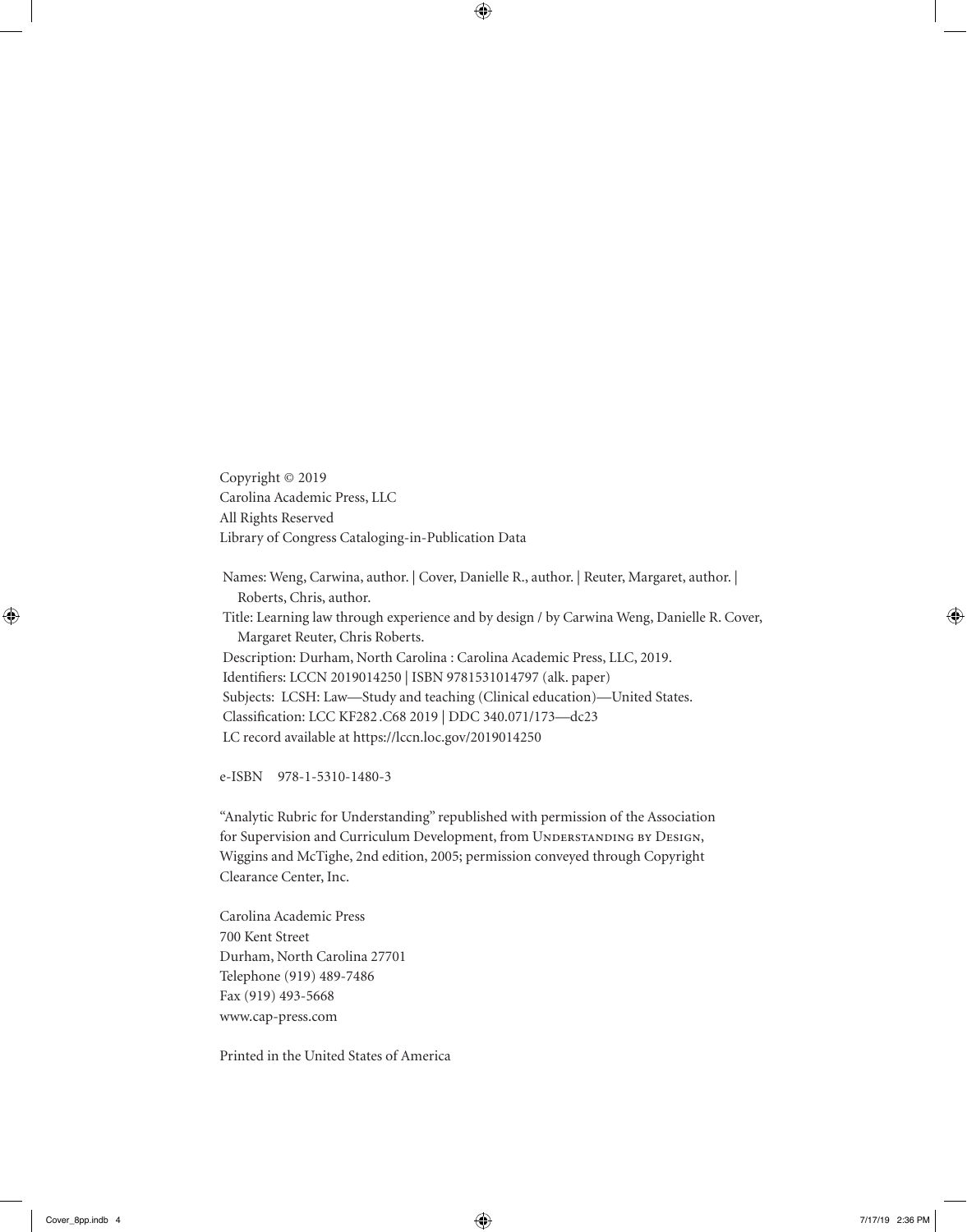Copyright © 2019 Carolina Academic Press, LLC All Rights Reserved Library of Congress Cataloging-in-Publication Data

Names: Weng, Carwina, author. | Cover, Danielle R., author. | Reuter, Margaret, author. | Roberts, Chris, author. Title: Learning law through experience and by design / by Carwina Weng, Danielle R. Cover, Margaret Reuter, Chris Roberts. Description: Durham, North Carolina : Carolina Academic Press, LLC, 2019. Identifiers: LCCN 2019014250 | ISBN 9781531014797 (alk. paper) Subjects: LCSH: Law—Study and teaching (Clinical education)—United States. Classification: LCC KF282 .C68 2019 | DDC 340.071/173—dc23 LC record available at https://lccn.loc.gov/2019014250

e-ISBN 978-1-5310-1480-3

"Analytic Rubric for Understanding" republished with permission of the Association for Supervision and Curriculum Development, from UNDERSTANDING BY DESIGN, Wiggins and McTighe, 2nd edition, 2005; permission conveyed through Copyright Clearance Center, Inc.

Carolina Academic Press 700 Kent Street Durham, North Carolina 27701 Telephone (919) 489-7486 Fax (919) 493-5668 www.cap-press.com

Printed in the United States of America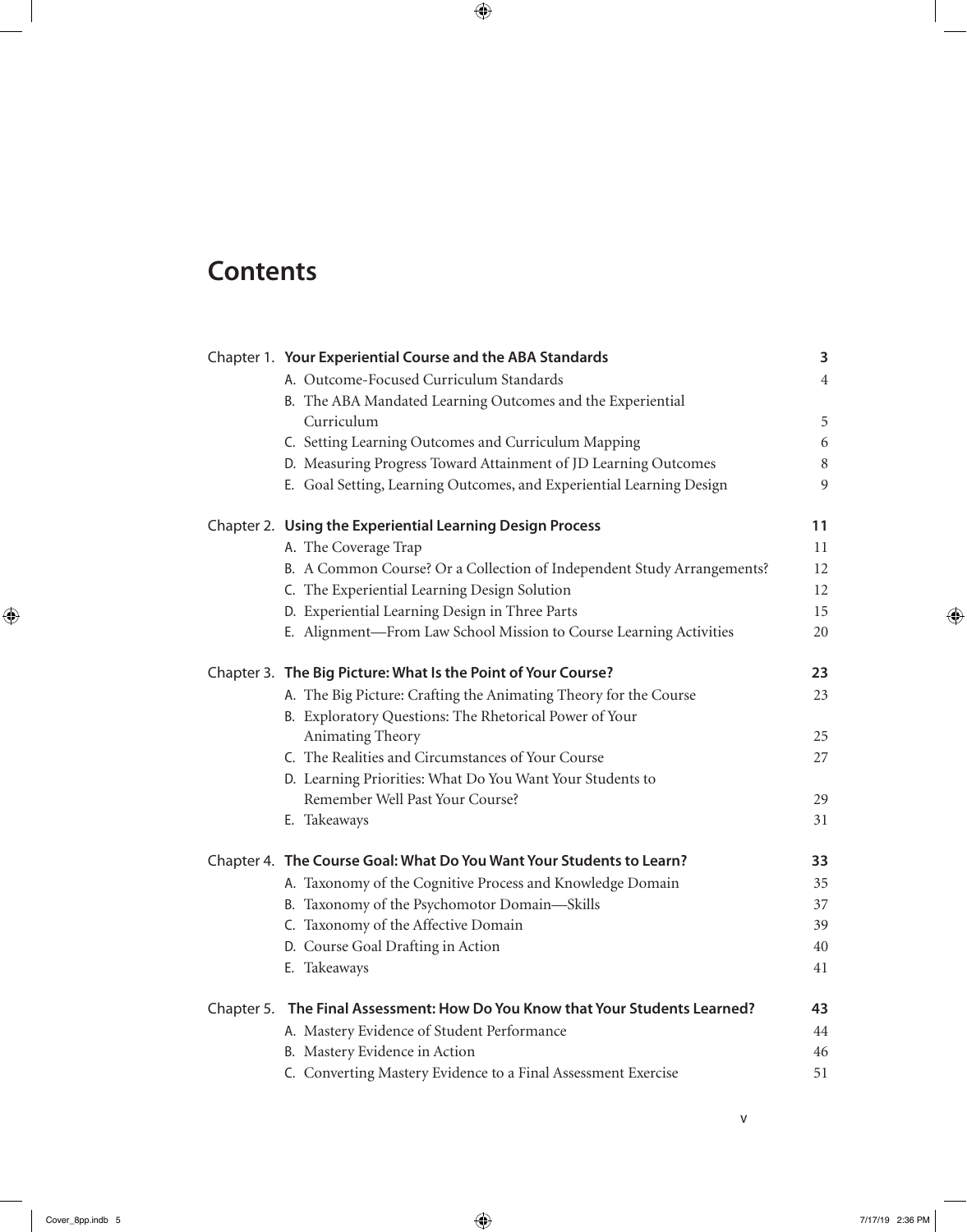## **Contents**

|  | Chapter 1. Your Experiential Course and the ABA Standards                    |                |  |
|--|------------------------------------------------------------------------------|----------------|--|
|  | A. Outcome-Focused Curriculum Standards                                      | $\overline{4}$ |  |
|  | B. The ABA Mandated Learning Outcomes and the Experiential                   |                |  |
|  | Curriculum                                                                   | 5              |  |
|  | C. Setting Learning Outcomes and Curriculum Mapping                          | 6              |  |
|  | D. Measuring Progress Toward Attainment of JD Learning Outcomes              | 8              |  |
|  | E. Goal Setting, Learning Outcomes, and Experiential Learning Design         | 9              |  |
|  | Chapter 2. Using the Experiential Learning Design Process                    | 11             |  |
|  | A. The Coverage Trap                                                         | 11             |  |
|  | B. A Common Course? Or a Collection of Independent Study Arrangements?       | 12             |  |
|  | C. The Experiential Learning Design Solution                                 | 12             |  |
|  | D. Experiential Learning Design in Three Parts                               | 15             |  |
|  | E. Alignment-From Law School Mission to Course Learning Activities           | 20             |  |
|  | Chapter 3. The Big Picture: What Is the Point of Your Course?                | 23             |  |
|  | A. The Big Picture: Crafting the Animating Theory for the Course             | 23             |  |
|  | B. Exploratory Questions: The Rhetorical Power of Your                       |                |  |
|  | Animating Theory                                                             | 25             |  |
|  | C. The Realities and Circumstances of Your Course                            | 27             |  |
|  | D. Learning Priorities: What Do You Want Your Students to                    |                |  |
|  | Remember Well Past Your Course?                                              | 29             |  |
|  | E. Takeaways                                                                 | 31             |  |
|  | Chapter 4. The Course Goal: What Do You Want Your Students to Learn?         | 33             |  |
|  | A. Taxonomy of the Cognitive Process and Knowledge Domain                    | 35             |  |
|  | B. Taxonomy of the Psychomotor Domain-Skills                                 | 37             |  |
|  | C. Taxonomy of the Affective Domain                                          | 39             |  |
|  | D. Course Goal Drafting in Action                                            | 40             |  |
|  | E. Takeaways                                                                 | 41             |  |
|  | Chapter 5. The Final Assessment: How Do You Know that Your Students Learned? | 43             |  |
|  | A. Mastery Evidence of Student Performance                                   | 44             |  |
|  | B. Mastery Evidence in Action                                                | 46             |  |
|  | C. Converting Mastery Evidence to a Final Assessment Exercise                | 51             |  |